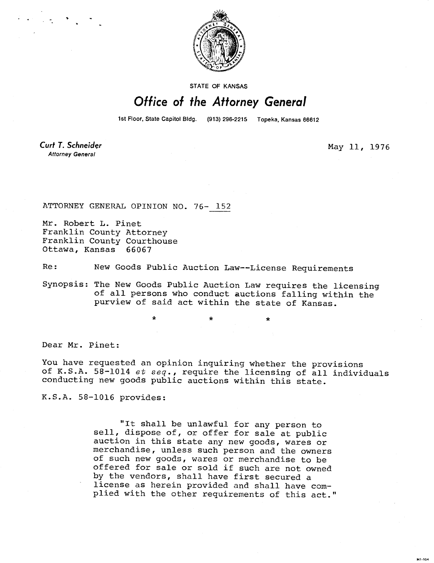

STATE OF KANSAS

## Office of the Attorney General

1st Floor, State Capitol Bldg. (913) 296-2215 Topeka, Kansas 66612

\*

**Curt T. Schneider Attorney General** 

May 11, 1976

**MI-104** 

ATTORNEY GENERAL OPINION NO. 76- 152

Mr. Robert L. Pinet Franklin County Attorney Franklin County Courthouse Ottawa, Kansas 66067

Re: New Goods Public Auction Law--License Requirements

Synopsis: The New Goods Public Auction Law requires the licensing of all persons who conduct auctions falling within the purview of said act within the state of Kansas.

Dear Mr. Pinet:

You have requested an opinion inquiring whether the provisions of K.S.A. 58-1014 et seq., require the licensing of all individuals conducting new goods public auctions within this state.

K.S.A. 58-1016 provides:

"It shall be unlawful for any person to sell, dispose of, or offer for sale at public auction in this state any new goods, wares or merchandise, unless such person and the owners of such new goods, wares or merchandise to be offered for sale or sold if such are not owned by the vendors, shall have first secured a license as herein provided and shall have complied with the other requirements of this act."